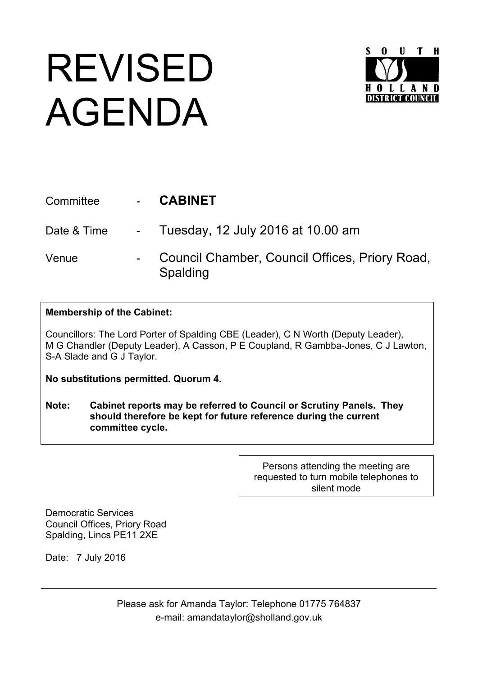## REVISED AGENDA



| Committee   | <b>CABINET</b>                                             |
|-------------|------------------------------------------------------------|
| Date & Time | - Tuesday, 12 July 2016 at 10.00 am                        |
| Venue       | Council Chamber, Council Offices, Priory Road,<br>Spalding |

**Membership of the Cabinet:**

Councillors: The Lord Porter of Spalding CBE (Leader), C N Worth (Deputy Leader), M G Chandler (Deputy Leader), A Casson, P E Coupland, R Gambba-Jones, C J Lawton, S-A Slade and G J Taylor.

**No substitutions permitted. Quorum 4.**

**Note: Cabinet reports may be referred to Council or Scrutiny Panels. They should therefore be kept for future reference during the current committee cycle.** 

> Persons attending the meeting are requested to turn mobile telephones to silent mode

Democratic Services Council Offices, Priory Road Spalding, Lincs PE11 2XE

Date: 7 July 2016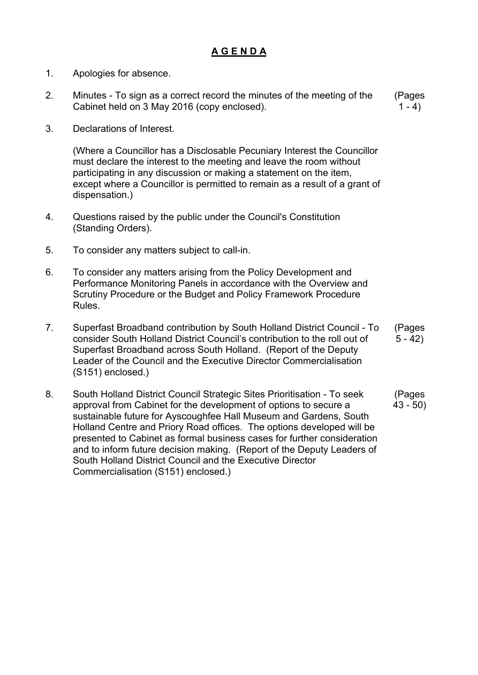## **A G E N D A**

- 1. Apologies for absence.
- 2. Minutes To sign as a correct record the minutes of the meeting of the Cabinet held on 3 May 2016 (copy enclosed). (Pages  $1 - 4$
- 3. Declarations of Interest.

(Where a Councillor has a Disclosable Pecuniary Interest the Councillor must declare the interest to the meeting and leave the room without participating in any discussion or making a statement on the item, except where a Councillor is permitted to remain as a result of a grant of dispensation.)

- 4. Questions raised by the public under the Council's Constitution (Standing Orders).
- 5. To consider any matters subject to call-in.
- 6. To consider any matters arising from the Policy Development and Performance Monitoring Panels in accordance with the Overview and Scrutiny Procedure or the Budget and Policy Framework Procedure Rules.
- 7. Superfast Broadband contribution by South Holland District Council To consider South Holland District Council's contribution to the roll out of Superfast Broadband across South Holland. (Report of the Deputy Leader of the Council and the Executive Director Commercialisation (S151) enclosed.) (Pages  $5 - 42$
- 8. South Holland District Council Strategic Sites Prioritisation To seek approval from Cabinet for the development of options to secure a sustainable future for Ayscoughfee Hall Museum and Gardens, South Holland Centre and Priory Road offices. The options developed will be presented to Cabinet as formal business cases for further consideration and to inform future decision making. (Report of the Deputy Leaders of South Holland District Council and the Executive Director Commercialisation (S151) enclosed.) (Pages 43 - 50)